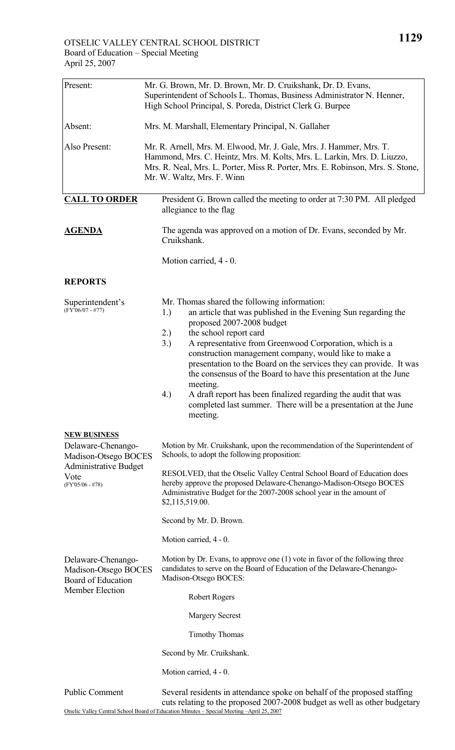| Present:                                                                                   | Mr. G. Brown, Mr. D. Brown, Mr. D. Cruikshank, Dr. D. Evans,<br>Superintendent of Schools L. Thomas, Business Administrator N. Henner,<br>High School Principal, S. Poreda, District Clerk G. Burpee                                                                                                                                                                                                                                                                                                                                                                                                                         |  |
|--------------------------------------------------------------------------------------------|------------------------------------------------------------------------------------------------------------------------------------------------------------------------------------------------------------------------------------------------------------------------------------------------------------------------------------------------------------------------------------------------------------------------------------------------------------------------------------------------------------------------------------------------------------------------------------------------------------------------------|--|
| Absent:                                                                                    | Mrs. M. Marshall, Elementary Principal, N. Gallaher                                                                                                                                                                                                                                                                                                                                                                                                                                                                                                                                                                          |  |
| Also Present:                                                                              | Mr. R. Arnell, Mrs. M. Elwood, Mr. J. Gale, Mrs. J. Hammer, Mrs. T.<br>Hammond, Mrs. C. Heintz, Mrs. M. Kolts, Mrs. L. Larkin, Mrs. D. Liuzzo,<br>Mrs. R. Neal, Mrs. L. Porter, Miss R. Porter, Mrs. E. Robinson, Mrs. S. Stone,<br>Mr. W. Waltz, Mrs. F. Winn                                                                                                                                                                                                                                                                                                                                                               |  |
| <b>CALL TO ORDER</b>                                                                       | President G. Brown called the meeting to order at 7:30 PM. All pledged<br>allegiance to the flag                                                                                                                                                                                                                                                                                                                                                                                                                                                                                                                             |  |
| <b>AGENDA</b>                                                                              | The agenda was approved on a motion of Dr. Evans, seconded by Mr.<br>Cruikshank.                                                                                                                                                                                                                                                                                                                                                                                                                                                                                                                                             |  |
|                                                                                            | Motion carried, 4 - 0.                                                                                                                                                                                                                                                                                                                                                                                                                                                                                                                                                                                                       |  |
| <b>REPORTS</b>                                                                             |                                                                                                                                                                                                                                                                                                                                                                                                                                                                                                                                                                                                                              |  |
| Superintendent's<br>$(FY'06/07 - #77)$                                                     | Mr. Thomas shared the following information:<br>1.)<br>an article that was published in the Evening Sun regarding the<br>proposed 2007-2008 budget<br>2.)<br>the school report card<br>3.)<br>A representative from Greenwood Corporation, which is a<br>construction management company, would like to make a<br>presentation to the Board on the services they can provide. It was<br>the consensus of the Board to have this presentation at the June<br>meeting.<br>A draft report has been finalized regarding the audit that was<br>4.)<br>completed last summer. There will be a presentation at the June<br>meeting. |  |
| <b>NEW BUSINESS</b><br>Delaware-Chenango-<br>Madison-Otsego BOCES                          | Motion by Mr. Cruikshank, upon the recommendation of the Superintendent of<br>Schools, to adopt the following proposition:                                                                                                                                                                                                                                                                                                                                                                                                                                                                                                   |  |
| <b>Administrative Budget</b><br>Vote<br>$(FY'05/06 - #78)$                                 | RESOLVED, that the Otselic Valley Central School Board of Education does<br>hereby approve the proposed Delaware-Chenango-Madison-Otsego BOCES<br>Administrative Budget for the 2007-2008 school year in the amount of<br>\$2,115,519.00.                                                                                                                                                                                                                                                                                                                                                                                    |  |
|                                                                                            | Second by Mr. D. Brown.                                                                                                                                                                                                                                                                                                                                                                                                                                                                                                                                                                                                      |  |
|                                                                                            | Motion carried, 4 - 0.                                                                                                                                                                                                                                                                                                                                                                                                                                                                                                                                                                                                       |  |
| Delaware-Chenango-<br>Madison-Otsego BOCES<br><b>Board of Education</b><br>Member Election | Motion by Dr. Evans, to approve one $(1)$ vote in favor of the following three<br>candidates to serve on the Board of Education of the Delaware-Chenango-<br>Madison-Otsego BOCES:                                                                                                                                                                                                                                                                                                                                                                                                                                           |  |
|                                                                                            | <b>Robert Rogers</b>                                                                                                                                                                                                                                                                                                                                                                                                                                                                                                                                                                                                         |  |
|                                                                                            | <b>Margery Secrest</b>                                                                                                                                                                                                                                                                                                                                                                                                                                                                                                                                                                                                       |  |
|                                                                                            | <b>Timothy Thomas</b>                                                                                                                                                                                                                                                                                                                                                                                                                                                                                                                                                                                                        |  |
|                                                                                            | Second by Mr. Cruikshank.                                                                                                                                                                                                                                                                                                                                                                                                                                                                                                                                                                                                    |  |
|                                                                                            | Motion carried, 4 - 0.                                                                                                                                                                                                                                                                                                                                                                                                                                                                                                                                                                                                       |  |
| <b>Public Comment</b>                                                                      | Several residents in attendance spoke on behalf of the proposed staffing<br>cuts relating to the proposed 2007-2008 budget as well as other budgetary                                                                                                                                                                                                                                                                                                                                                                                                                                                                        |  |

Otselic Valley Central School Board of Education Minutes – Special Meeting –April 25, 2007